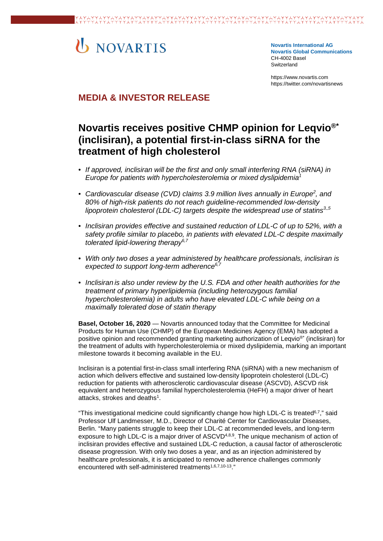# **U** NOVARTIS

**Novartis International AG Novartis Global Communications**  CH-4002 Basel **Switzerland** 

[https://www.novartis.com](https://www.novartis.com/) <https://twitter.com/novartisnews>

### **MEDIA & INVESTOR RELEASE**

## **Novartis receives positive CHMP opinion for Leqvio®\* (inclisiran), a potential first-in-class siRNA for the treatment of high cholesterol**

- *If approved, inclisiran will be the first and only small interfering RNA (siRNA) in Europe for patients with hypercholesterolemia or mixed dyslipidemia<sup>1</sup>*
- Cardiovascular disease (CVD) claims 3.9 million lives annually in Europe<sup>2</sup>, and *80% of high-risk patients do not reach guideline-recommended low-density lipoprotein cholesterol (LDL-C) targets despite the widespread use of statins<sup>3</sup>*–*<sup>5</sup>*
- *Inclisiran provides effective and sustained reduction of LDL-C of up to 52%, with a safety profile similar to placebo, in patients with elevated LDL-C despite maximally tolerated lipid-lowering therapy6,7*
- *With only two doses a year administered by healthcare professionals, inclisiran is expected to support long-term adherence6,7*
- *Inclisiran is also under review by the U.S. FDA and other health authorities for the treatment of primary hyperlipidemia (including heterozygous familial hypercholesterolemia) in adults who have elevated LDL-C while being on a maximally tolerated dose of statin therapy*

**Basel, October 16, 2020** — Novartis announced today that the Committee for Medicinal Products for Human Use (CHMP) of the European Medicines Agency (EMA) has adopted a positive opinion and recommended granting marketing authorization of Leqvio®\* (inclisiran) for the treatment of adults with hypercholesterolemia or mixed dyslipidemia, marking an important milestone towards it becoming available in the EU.

Inclisiran is a potential first-in-class small interfering RNA (siRNA) with a new mechanism of action which delivers effective and sustained low-density lipoprotein cholesterol (LDL-C) reduction for patients with atherosclerotic cardiovascular disease (ASCVD), ASCVD risk equivalent and heterozygous familial hypercholesterolemia (HeFH) a major driver of heart attacks, strokes and deaths<sup>1</sup>.

"This investigational medicine could significantly change how high LDL-C is treated<sup>6,7</sup>," said Professor Ulf Landmesser, M.D., Director of Charité Center for Cardiovascular Diseases, Berlin. "Many patients struggle to keep their LDL-C at recommended levels, and long-term exposure to high LDL-C is a major driver of ASCVD<sup>4,8,9</sup>. The unique mechanism of action of inclisiran provides effective and sustained LDL-C reduction, a causal factor of atherosclerotic disease progression. With only two doses a year, and as an injection administered by healthcare professionals, it is anticipated to remove adherence challenges commonly encountered with self-administered treatments<sup>1,6,7,10-13</sup>."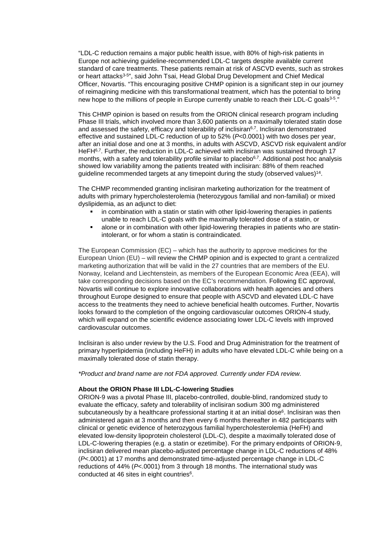"LDL-C reduction remains a major public health issue, with 80% of high-risk patients in Europe not achieving guideline-recommended LDL-C targets despite available current standard of care treatments. These patients remain at risk of ASCVD events, such as strokes or heart attacks<sup>3-5</sup>", said John Tsai, Head Global Drug Development and Chief Medical Officer, Novartis. "This encouraging positive CHMP opinion is a significant step in our journey of reimagining medicine with this transformational treatment, which has the potential to bring new hope to the millions of people in Europe currently unable to reach their LDL-C goals<sup>3-5</sup>."

This CHMP opinion is based on results from the ORION clinical research program including Phase III trials, which involved more than 3,600 patients on a maximally tolerated statin dose and assessed the safety, efficacy and tolerability of inclisiran<sup>6,7</sup>. Inclisiran demonstrated effective and sustained LDL-C reduction of up to 52% (*P*<0.0001) with two doses per year, after an initial dose and one at 3 months, in adults with ASCVD, ASCVD risk equivalent and/or HeFH<sup>6,7</sup>. Further, the reduction in LDL-C achieved with inclisiran was sustained through 17 months, with a safety and tolerability profile similar to placebo<sup>6,7</sup>. Additional post hoc analysis showed low variability among the patients treated with inclisiran: 88% of them reached guideline recommended targets at any timepoint during the study (observed values)14.

The CHMP recommended granting inclisiran marketing authorization for the treatment of adults with primary hypercholesterolemia (heterozygous familial and non-familial) or mixed dyslipidemia, as an adjunct to diet:

- in combination with a statin or statin with other lipid-lowering therapies in patients unable to reach LDL-C goals with the maximally tolerated dose of a statin, or
- alone or in combination with other lipid-lowering therapies in patients who are statinintolerant, or for whom a statin is contraindicated.

The European Commission (EC) – which has the authority to approve medicines for the European Union (EU) – will review the CHMP opinion and is expected to grant a centralized marketing authorization that will be valid in the 27 countries that are members of the EU. Norway, Iceland and Liechtenstein, as members of the European Economic Area (EEA), will take corresponding decisions based on the EC's recommendation. Following EC approval, Novartis will continue to explore innovative collaborations with health agencies and others throughout Europe designed to ensure that people with ASCVD and elevated LDL-C have access to the treatments they need to achieve beneficial health outcomes. Further, Novartis looks forward to the completion of the ongoing cardiovascular outcomes ORION-4 study, which will expand on the scientific evidence associating lower LDL-C levels with improved cardiovascular outcomes.

Inclisiran is also under review by the U.S. Food and Drug Administration for the treatment of primary hyperlipidemia (including HeFH) in adults who have elevated LDL-C while being on a maximally tolerated dose of statin therapy.

*\*Product and brand name are not FDA approved. Currently under FDA review.*

#### **About the ORION Phase III LDL-C-lowering Studies**

ORION-9 was a pivotal Phase III, placebo-controlled, double-blind, randomized study to evaluate the efficacy, safety and tolerability of inclisiran sodium 300 mg administered subcutaneously by a healthcare professional starting it at an initial dose<sup>6</sup>. Inclisiran was then administered again at 3 months and then every 6 months thereafter in 482 participants with clinical or genetic evidence of heterozygous familial hypercholesterolemia (HeFH) and elevated low-density lipoprotein cholesterol (LDL-C), despite a maximally tolerated dose of LDL-C-lowering therapies (e.g. a statin or ezetimibe). For the primary endpoints of ORION-9, inclisiran delivered mean placebo-adjusted percentage change in LDL-C reductions of 48% (*P*<.0001) at 17 months and demonstrated time-adjusted percentage change in LDL-C reductions of 44% (*P*<.0001) from 3 through 18 months. The international study was conducted at 46 sites in eight countries<sup>6</sup>.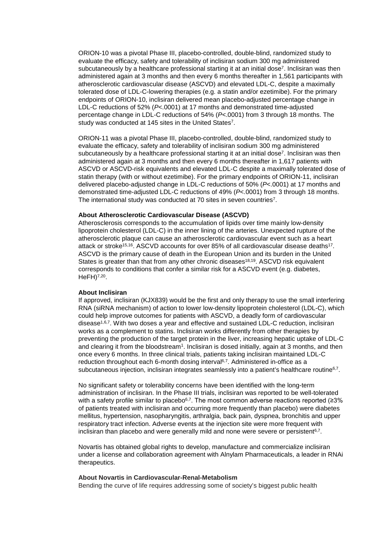ORION-10 was a pivotal Phase III, placebo-controlled, double-blind, randomized study to evaluate the efficacy, safety and tolerability of inclisiran sodium 300 mg administered subcutaneously by a healthcare professional starting it at an initial dose7. Inclisiran was then administered again at 3 months and then every 6 months thereafter in 1,561 participants with atherosclerotic cardiovascular disease (ASCVD) and elevated LDL-C, despite a maximally tolerated dose of LDL-C-lowering therapies (e.g. a statin and/or ezetimibe). For the primary endpoints of ORION-10, inclisiran delivered mean placebo-adjusted percentage change in LDL-C reductions of 52% (*P*<.0001) at 17 months and demonstrated time-adjusted percentage change in LDL-C reductions of 54% (*P*<.0001) from 3 through 18 months. The study was conducted at 145 sites in the United States<sup>7</sup>.

ORION-11 was a pivotal Phase III, placebo-controlled, double-blind, randomized study to evaluate the efficacy, safety and tolerability of inclisiran sodium 300 mg administered subcutaneously by a healthcare professional starting it at an initial dose7. Inclisiran was then administered again at 3 months and then every 6 months thereafter in 1,617 patients with ASCVD or ASCVD-risk equivalents and elevated LDL-C despite a maximally tolerated dose of statin therapy (with or without ezetimibe). For the primary endpoints of ORION-11, inclisiran delivered placebo-adjusted change in LDL-C reductions of 50% (*P*<.0001) at 17 months and demonstrated time-adjusted LDL-C reductions of 49% (*P*<.0001) from 3 through 18 months. The international study was conducted at 70 sites in seven countries<sup>7</sup>.

#### **About Atherosclerotic Cardiovascular Disease (ASCVD)**

Atherosclerosis corresponds to the accumulation of lipids over time mainly low-density lipoprotein cholesterol (LDL-C) in the inner lining of the arteries. Unexpected rupture of the atherosclerotic plaque can cause an atherosclerotic cardiovascular event such as a heart attack or stroke<sup>15,16</sup>. ASCVD accounts for over 85% of all cardiovascular disease deaths<sup>17</sup>. ASCVD is the primary cause of death in the European Union and its burden in the United States is greater than that from any other chronic diseases<sup>18,19</sup>. ASCVD risk equivalent corresponds to conditions that confer a similar risk for a ASCVD event (e.g. diabetes,  $HeFH$ )<sup>7,20</sup>.

#### **About Inclisiran**

If approved, inclisiran (KJX839) would be the first and only therapy to use the small interfering RNA (siRNA mechanism) of action to lower low-density lipoprotein cholesterol (LDL-C), which could help improve outcomes for patients with ASCVD, a deadly form of cardiovascular disease<sup>1,6,7</sup>. With two doses a year and effective and sustained LDL-C reduction, inclisiran works as a complement to statins. Inclisiran works differently from other therapies by preventing the production of the target protein in the liver, increasing hepatic uptake of LDL-C and clearing it from the bloodstream<sup>1</sup>. Inclisiran is dosed initially, again at 3 months, and then once every 6 months. In three clinical trials, patients taking inclisiran maintained LDL-C reduction throughout each 6-month dosing interval<sup>6,7</sup>. Administered in-office as a subcutaneous injection, inclisiran integrates seamlessly into a patient's healthcare routine<sup>6,7</sup>.

No significant safety or tolerability concerns have been identified with the long-term administration of inclisiran. In the Phase III trials, inclisiran was reported to be well-tolerated with a safety profile similar to placebo $6.7$ . The most common adverse reactions reported ( $\geq 3\%$ of patients treated with inclisiran and occurring more frequently than placebo) were diabetes mellitus, hypertension, nasopharyngitis, arthralgia, back pain, dyspnea, bronchitis and upper respiratory tract infection. Adverse events at the injection site were more frequent with inclisiran than placebo and were generally mild and none were severe or persistent<sup>6,7</sup>.

Novartis has obtained global rights to develop, manufacture and commercialize inclisiran under a license and collaboration agreement with Alnylam Pharmaceuticals, a leader in RNAi therapeutics.

#### **About Novartis in Cardiovascular-Renal-Metabolism**

Bending the curve of life requires addressing some of society's biggest public health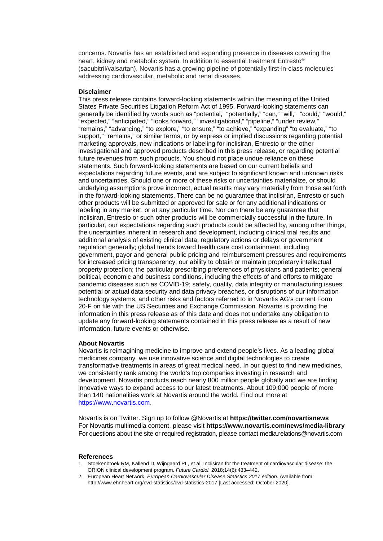concerns. Novartis has an established and expanding presence in diseases covering the heart, kidney and metabolic system. In addition to essential treatment Entresto<sup>®</sup> (sacubitril/valsartan), Novartis has a growing pipeline of potentially first-in-class molecules addressing cardiovascular, metabolic and renal diseases.

#### **Disclaimer**

This press release contains forward-looking statements within the meaning of the United States Private Securities Litigation Reform Act of 1995. Forward-looking statements can generally be identified by words such as "potential," "potentially," "can," "will," "could," "would," "expected," "anticipated," "looks forward," "investigational," "pipeline," "under review," "remains," "advancing," "to explore," "to ensure," "to achieve," "expanding" "to evaluate," "to support," "remains," or similar terms, or by express or implied discussions regarding potential marketing approvals, new indications or labeling for inclisiran, Entresto or the other investigational and approved products described in this press release, or regarding potential future revenues from such products. You should not place undue reliance on these statements. Such forward-looking statements are based on our current beliefs and expectations regarding future events, and are subject to significant known and unknown risks and uncertainties. Should one or more of these risks or uncertainties materialize, or should underlying assumptions prove incorrect, actual results may vary materially from those set forth in the forward-looking statements. There can be no guarantee that inclisiran, Entresto or such other products will be submitted or approved for sale or for any additional indications or labeling in any market, or at any particular time. Nor can there be any guarantee that inclisiran, Entresto or such other products will be commercially successful in the future. In particular, our expectations regarding such products could be affected by, among other things, the uncertainties inherent in research and development, including clinical trial results and additional analysis of existing clinical data; regulatory actions or delays or government regulation generally; global trends toward health care cost containment, including government, payor and general public pricing and reimbursement pressures and requirements for increased pricing transparency; our ability to obtain or maintain proprietary intellectual property protection; the particular prescribing preferences of physicians and patients; general political, economic and business conditions, including the effects of and efforts to mitigate pandemic diseases such as COVID-19; safety, quality, data integrity or manufacturing issues; potential or actual data security and data privacy breaches, or disruptions of our information technology systems, and other risks and factors referred to in Novartis AG's current Form 20-F on file with the US Securities and Exchange Commission. Novartis is providing the information in this press release as of this date and does not undertake any obligation to update any forward-looking statements contained in this press release as a result of new information, future events or otherwise.

#### **About Novartis**

Novartis is reimagining medicine to improve and extend people's lives. As a leading global medicines company, we use innovative science and digital technologies to create transformative treatments in areas of great medical need. In our quest to find new medicines, we consistently rank among the world's top companies investing in research and development. Novartis products reach nearly 800 million people globally and we are finding innovative ways to expand access to our latest treatments. About 109,000 people of more than 140 nationalities work at Novartis around the world. Find out more at https://www.novartis.com.

Novartis is on Twitter. Sign up to follow @Novartis at **<https://twitter.com/novartisnews>** For Novartis multimedia content, please visit **https:/[/www.novartis.com/news/media-library](http://www.novartis.com/news/media-library)** For questions about the site or required registration, please contact [media.relations@novartis.com](mailto:media.relations@novartis.com)

#### **References**

- 1. Stoekenbroek RM, Kallend D, Wijngaard PL, et al. Inclisiran for the treatment of cardiovascular disease: the ORION clinical development program. *Future Cardiol.* 2018;14(6):433–442.
- 2. European Heart Network. *European Cardiovascular Disease Statistics 2017 edition*. Available from: <http://www.ehnheart.org/cvd-statistics/cvd-statistics-2017> [Last accessed: October 2020].